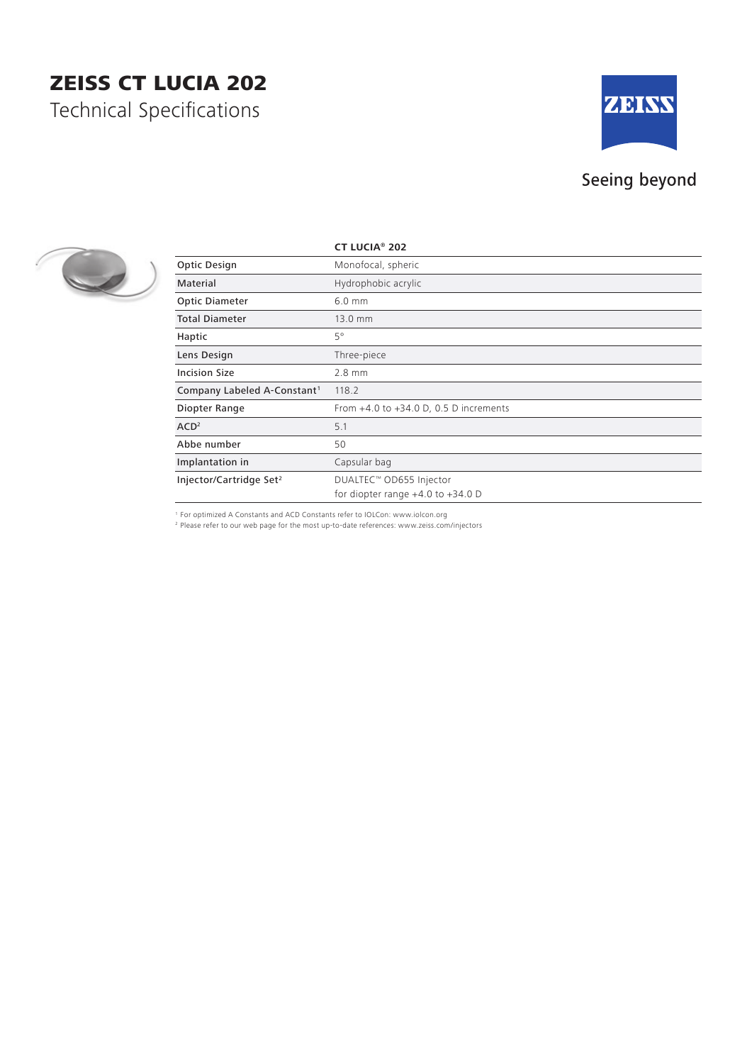## ZEISS CT LUCIA 202

Technical Specifications



## Seeing beyond



|                                         | <b>CT LUCIA® 202</b>                                             |
|-----------------------------------------|------------------------------------------------------------------|
| Optic Design                            | Monofocal, spheric                                               |
| Material                                | Hydrophobic acrylic                                              |
| <b>Optic Diameter</b>                   | $6.0$ mm                                                         |
| <b>Total Diameter</b>                   | 13.0 mm                                                          |
| Haptic                                  | $5^{\circ}$                                                      |
| Lens Design                             | Three-piece                                                      |
| <b>Incision Size</b>                    | $2.8$ mm                                                         |
| Company Labeled A-Constant <sup>1</sup> | 118.2                                                            |
| Diopter Range                           | From $+4.0$ to $+34.0$ D, 0.5 D increments                       |
| ACD <sup>2</sup>                        | 5.1                                                              |
| Abbe number                             | 50                                                               |
| Implantation in                         | Capsular bag                                                     |
| Injector/Cartridge Set <sup>2</sup>     | DUALTEC™ OD655 Injector<br>for diopter range $+4.0$ to $+34.0$ D |

<sup>1</sup> For optimized A Constants and ACD Constants refer to IOLCon: www.iolcon.org

2   Please refer to our web page for the most up-to-date references: www.zeiss.com/injectors